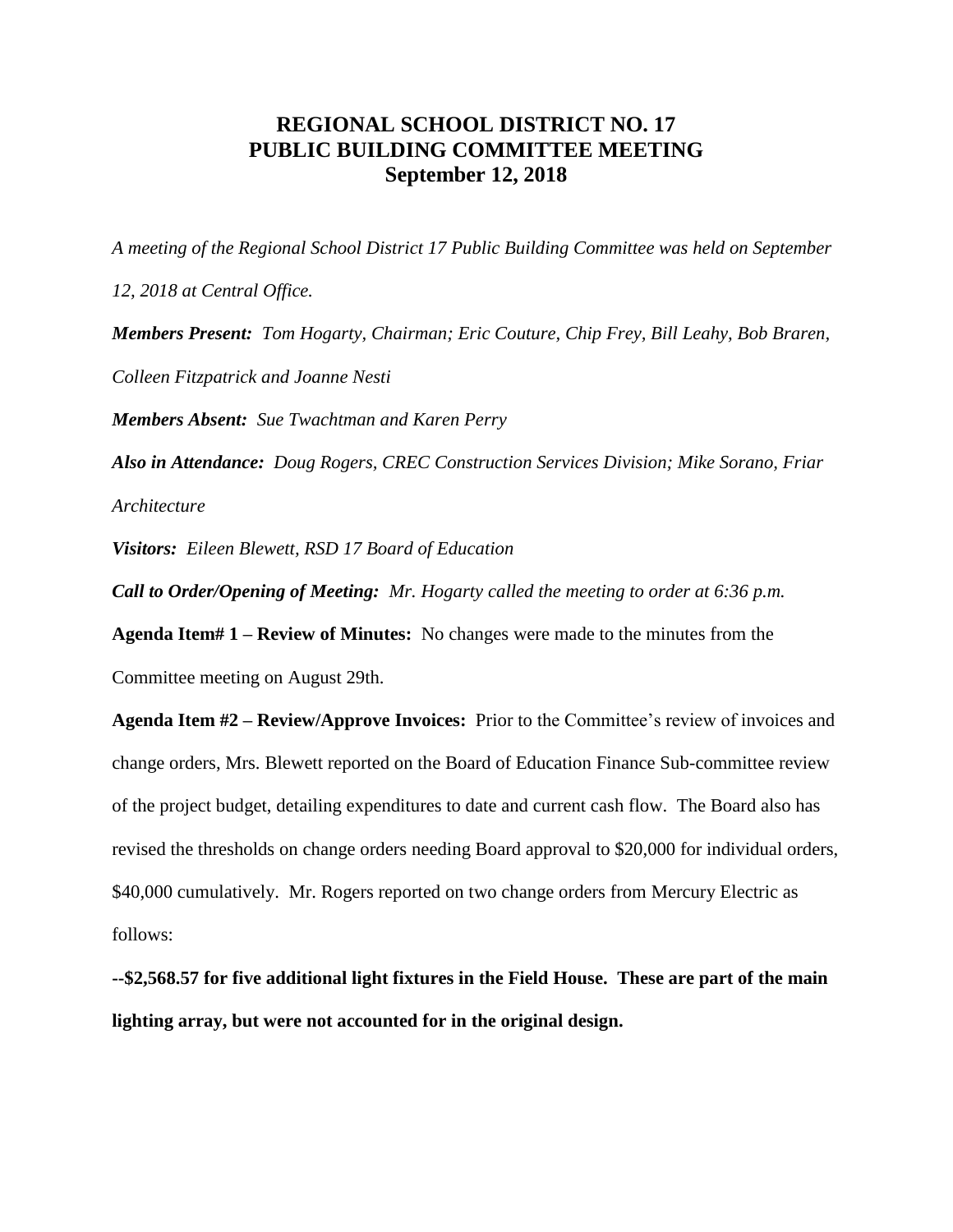## **REGIONAL SCHOOL DISTRICT NO. 17 PUBLIC BUILDING COMMITTEE MEETING September 12, 2018**

*A meeting of the Regional School District 17 Public Building Committee was held on September* 

*12, 2018 at Central Office.*

*Members Present: Tom Hogarty, Chairman; Eric Couture, Chip Frey, Bill Leahy, Bob Braren, Colleen Fitzpatrick and Joanne Nesti*

*Members Absent: Sue Twachtman and Karen Perry*

*Also in Attendance: Doug Rogers, CREC Construction Services Division; Mike Sorano, Friar Architecture*

*Visitors: Eileen Blewett, RSD 17 Board of Education*

*Call to Order/Opening of Meeting: Mr. Hogarty called the meeting to order at 6:36 p.m.*

**Agenda Item# 1 – Review of Minutes:** No changes were made to the minutes from the Committee meeting on August 29th.

**Agenda Item #2 – Review/Approve Invoices:** Prior to the Committee's review of invoices and change orders, Mrs. Blewett reported on the Board of Education Finance Sub-committee review of the project budget, detailing expenditures to date and current cash flow. The Board also has revised the thresholds on change orders needing Board approval to \$20,000 for individual orders, \$40,000 cumulatively. Mr. Rogers reported on two change orders from Mercury Electric as follows:

**--\$2,568.57 for five additional light fixtures in the Field House. These are part of the main lighting array, but were not accounted for in the original design.**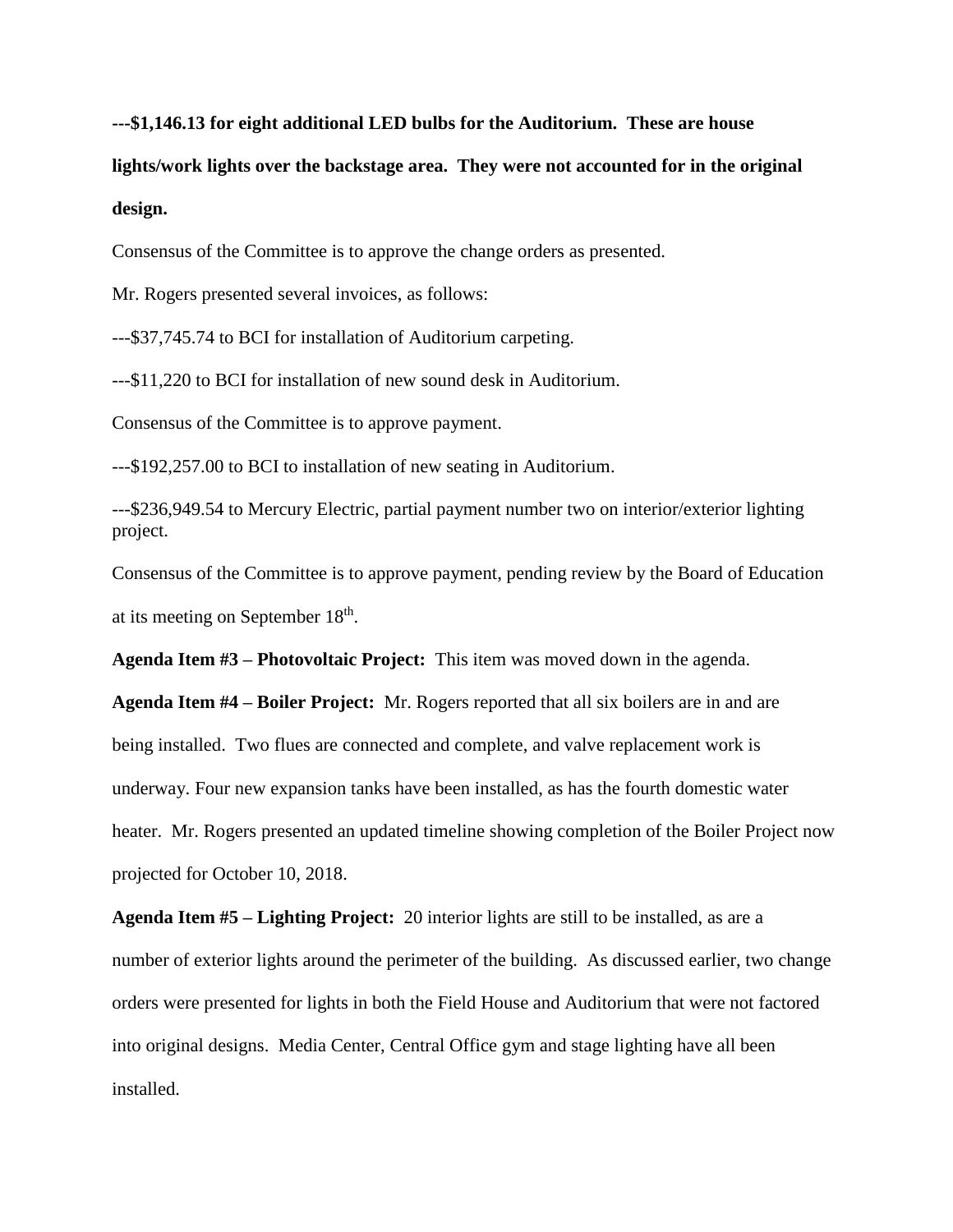**---\$1,146.13 for eight additional LED bulbs for the Auditorium. These are house**

**lights/work lights over the backstage area. They were not accounted for in the original design.**

Consensus of the Committee is to approve the change orders as presented.

Mr. Rogers presented several invoices, as follows:

---\$37,745.74 to BCI for installation of Auditorium carpeting.

---\$11,220 to BCI for installation of new sound desk in Auditorium.

Consensus of the Committee is to approve payment.

---\$192,257.00 to BCI to installation of new seating in Auditorium.

---\$236,949.54 to Mercury Electric, partial payment number two on interior/exterior lighting project.

Consensus of the Committee is to approve payment, pending review by the Board of Education at its meeting on September  $18<sup>th</sup>$ .

**Agenda Item #3 – Photovoltaic Project:** This item was moved down in the agenda.

**Agenda Item #4 – Boiler Project:** Mr. Rogers reported that all six boilers are in and are being installed. Two flues are connected and complete, and valve replacement work is underway. Four new expansion tanks have been installed, as has the fourth domestic water heater. Mr. Rogers presented an updated timeline showing completion of the Boiler Project now projected for October 10, 2018.

**Agenda Item #5 – Lighting Project:** 20 interior lights are still to be installed, as are a number of exterior lights around the perimeter of the building. As discussed earlier, two change orders were presented for lights in both the Field House and Auditorium that were not factored into original designs. Media Center, Central Office gym and stage lighting have all been installed.